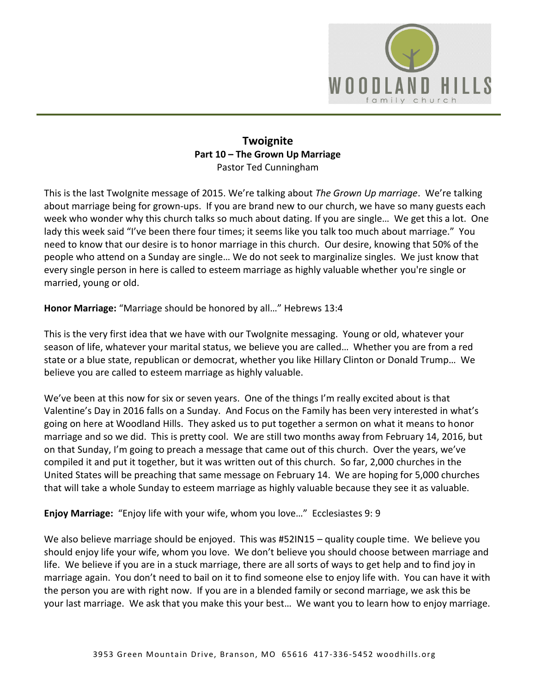

### **Twoignite Part 10 – The Grown Up Marriage**  Pastor Ted Cunningham

This is the last TwoIgnite message of 2015. We're talking about *The Grown Up marriage*. We're talking about marriage being for grown-ups. If you are brand new to our church, we have so many guests each week who wonder why this church talks so much about dating. If you are single… We get this a lot. One lady this week said "I've been there four times; it seems like you talk too much about marriage." You need to know that our desire is to honor marriage in this church. Our desire, knowing that 50% of the people who attend on a Sunday are single… We do not seek to marginalize singles. We just know that every single person in here is called to esteem marriage as highly valuable whether you're single or married, young or old.

**Honor Marriage:** "Marriage should be honored by all…" Hebrews 13:4

This is the very first idea that we have with our TwoIgnite messaging. Young or old, whatever your season of life, whatever your marital status, we believe you are called… Whether you are from a red state or a blue state, republican or democrat, whether you like Hillary Clinton or Donald Trump… We believe you are called to esteem marriage as highly valuable.

We've been at this now for six or seven years. One of the things I'm really excited about is that Valentine's Day in 2016 falls on a Sunday. And Focus on the Family has been very interested in what's going on here at Woodland Hills. They asked us to put together a sermon on what it means to honor marriage and so we did. This is pretty cool. We are still two months away from February 14, 2016, but on that Sunday, I'm going to preach a message that came out of this church. Over the years, we've compiled it and put it together, but it was written out of this church. So far, 2,000 churches in the United States will be preaching that same message on February 14. We are hoping for 5,000 churches that will take a whole Sunday to esteem marriage as highly valuable because they see it as valuable.

**Enjoy Marriage:** "Enjoy life with your wife, whom you love…" Ecclesiastes 9: 9

We also believe marriage should be enjoyed. This was #52IN15 – quality couple time. We believe you should enjoy life your wife, whom you love. We don't believe you should choose between marriage and life. We believe if you are in a stuck marriage, there are all sorts of ways to get help and to find joy in marriage again. You don't need to bail on it to find someone else to enjoy life with. You can have it with the person you are with right now. If you are in a blended family or second marriage, we ask this be your last marriage. We ask that you make this your best… We want you to learn how to enjoy marriage.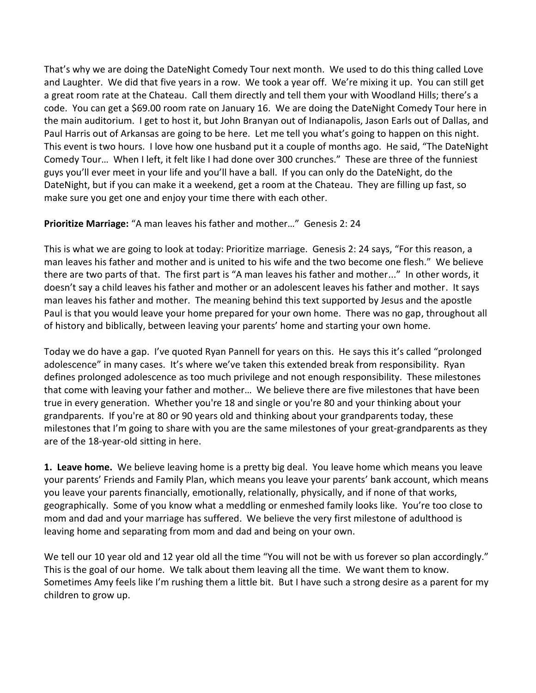That's why we are doing the DateNight Comedy Tour next month. We used to do this thing called Love and Laughter. We did that five years in a row. We took a year off. We're mixing it up. You can still get a great room rate at the Chateau. Call them directly and tell them your with Woodland Hills; there's a code. You can get a \$69.00 room rate on January 16. We are doing the DateNight Comedy Tour here in the main auditorium. I get to host it, but John Branyan out of Indianapolis, Jason Earls out of Dallas, and Paul Harris out of Arkansas are going to be here. Let me tell you what's going to happen on this night. This event is two hours. I love how one husband put it a couple of months ago. He said, "The DateNight Comedy Tour… When I left, it felt like I had done over 300 crunches." These are three of the funniest guys you'll ever meet in your life and you'll have a ball. If you can only do the DateNight, do the DateNight, but if you can make it a weekend, get a room at the Chateau. They are filling up fast, so make sure you get one and enjoy your time there with each other.

### **Prioritize Marriage:** "A man leaves his father and mother…" Genesis 2: 24

This is what we are going to look at today: Prioritize marriage. Genesis 2: 24 says, "For this reason, a man leaves his father and mother and is united to his wife and the two become one flesh." We believe there are two parts of that. The first part is "A man leaves his father and mother..." In other words, it doesn't say a child leaves his father and mother or an adolescent leaves his father and mother. It says man leaves his father and mother. The meaning behind this text supported by Jesus and the apostle Paul is that you would leave your home prepared for your own home. There was no gap, throughout all of history and biblically, between leaving your parents' home and starting your own home.

Today we do have a gap. I've quoted Ryan Pannell for years on this. He says this it's called "prolonged adolescence" in many cases. It's where we've taken this extended break from responsibility. Ryan defines prolonged adolescence as too much privilege and not enough responsibility. These milestones that come with leaving your father and mother… We believe there are five milestones that have been true in every generation. Whether you're 18 and single or you're 80 and your thinking about your grandparents. If you're at 80 or 90 years old and thinking about your grandparents today, these milestones that I'm going to share with you are the same milestones of your great-grandparents as they are of the 18-year-old sitting in here.

**1. Leave home.** We believe leaving home is a pretty big deal. You leave home which means you leave your parents' Friends and Family Plan, which means you leave your parents' bank account, which means you leave your parents financially, emotionally, relationally, physically, and if none of that works, geographically. Some of you know what a meddling or enmeshed family looks like. You're too close to mom and dad and your marriage has suffered. We believe the very first milestone of adulthood is leaving home and separating from mom and dad and being on your own.

We tell our 10 year old and 12 year old all the time "You will not be with us forever so plan accordingly." This is the goal of our home. We talk about them leaving all the time. We want them to know. Sometimes Amy feels like I'm rushing them a little bit. But I have such a strong desire as a parent for my children to grow up.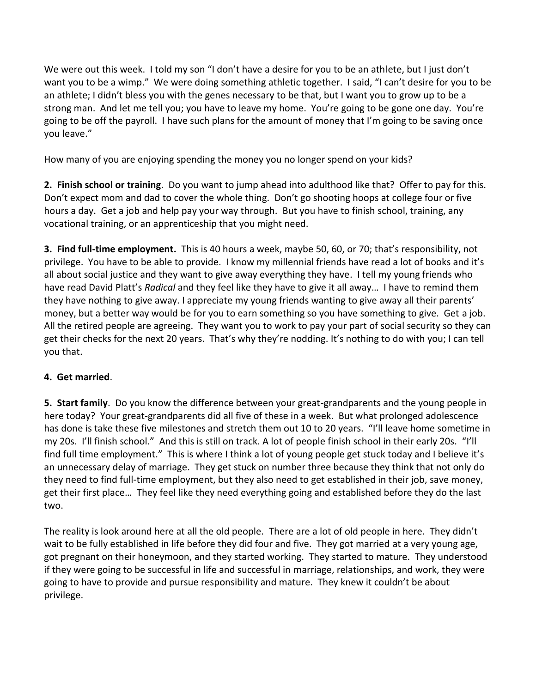We were out this week. I told my son "I don't have a desire for you to be an athlete, but I just don't want you to be a wimp." We were doing something athletic together. I said, "I can't desire for you to be an athlete; I didn't bless you with the genes necessary to be that, but I want you to grow up to be a strong man. And let me tell you; you have to leave my home. You're going to be gone one day. You're going to be off the payroll. I have such plans for the amount of money that I'm going to be saving once you leave."

How many of you are enjoying spending the money you no longer spend on your kids?

**2. Finish school or training**. Do you want to jump ahead into adulthood like that? Offer to pay for this. Don't expect mom and dad to cover the whole thing. Don't go shooting hoops at college four or five hours a day. Get a job and help pay your way through. But you have to finish school, training, any vocational training, or an apprenticeship that you might need.

**3. Find full-time employment.** This is 40 hours a week, maybe 50, 60, or 70; that's responsibility, not privilege. You have to be able to provide. I know my millennial friends have read a lot of books and it's all about social justice and they want to give away everything they have. I tell my young friends who have read David Platt's *Radical* and they feel like they have to give it all away… I have to remind them they have nothing to give away. I appreciate my young friends wanting to give away all their parents' money, but a better way would be for you to earn something so you have something to give. Get a job. All the retired people are agreeing. They want you to work to pay your part of social security so they can get their checks for the next 20 years. That's why they're nodding. It's nothing to do with you; I can tell you that.

# **4. Get married**.

**5. Start family**. Do you know the difference between your great-grandparents and the young people in here today? Your great-grandparents did all five of these in a week. But what prolonged adolescence has done is take these five milestones and stretch them out 10 to 20 years. "I'll leave home sometime in my 20s. I'll finish school." And this is still on track. A lot of people finish school in their early 20s. "I'll find full time employment." This is where I think a lot of young people get stuck today and I believe it's an unnecessary delay of marriage. They get stuck on number three because they think that not only do they need to find full-time employment, but they also need to get established in their job, save money, get their first place… They feel like they need everything going and established before they do the last two.

The reality is look around here at all the old people. There are a lot of old people in here. They didn't wait to be fully established in life before they did four and five. They got married at a very young age, got pregnant on their honeymoon, and they started working. They started to mature. They understood if they were going to be successful in life and successful in marriage, relationships, and work, they were going to have to provide and pursue responsibility and mature. They knew it couldn't be about privilege.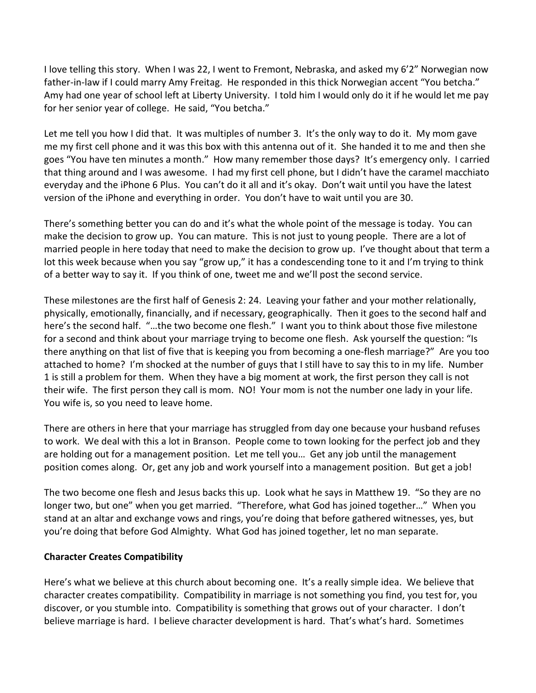I love telling this story. When I was 22, I went to Fremont, Nebraska, and asked my 6'2" Norwegian now father-in-law if I could marry Amy Freitag. He responded in this thick Norwegian accent "You betcha." Amy had one year of school left at Liberty University. I told him I would only do it if he would let me pay for her senior year of college. He said, "You betcha."

Let me tell you how I did that. It was multiples of number 3. It's the only way to do it. My mom gave me my first cell phone and it was this box with this antenna out of it. She handed it to me and then she goes "You have ten minutes a month." How many remember those days? It's emergency only. I carried that thing around and I was awesome. I had my first cell phone, but I didn't have the caramel macchiato everyday and the iPhone 6 Plus. You can't do it all and it's okay. Don't wait until you have the latest version of the iPhone and everything in order. You don't have to wait until you are 30.

There's something better you can do and it's what the whole point of the message is today. You can make the decision to grow up. You can mature. This is not just to young people. There are a lot of married people in here today that need to make the decision to grow up. I've thought about that term a lot this week because when you say "grow up," it has a condescending tone to it and I'm trying to think of a better way to say it. If you think of one, tweet me and we'll post the second service.

These milestones are the first half of Genesis 2: 24. Leaving your father and your mother relationally, physically, emotionally, financially, and if necessary, geographically. Then it goes to the second half and here's the second half. "…the two become one flesh." I want you to think about those five milestone for a second and think about your marriage trying to become one flesh. Ask yourself the question: "Is there anything on that list of five that is keeping you from becoming a one-flesh marriage?" Are you too attached to home? I'm shocked at the number of guys that I still have to say this to in my life. Number 1 is still a problem for them. When they have a big moment at work, the first person they call is not their wife. The first person they call is mom. NO! Your mom is not the number one lady in your life. You wife is, so you need to leave home.

There are others in here that your marriage has struggled from day one because your husband refuses to work. We deal with this a lot in Branson. People come to town looking for the perfect job and they are holding out for a management position. Let me tell you… Get any job until the management position comes along. Or, get any job and work yourself into a management position. But get a job!

The two become one flesh and Jesus backs this up. Look what he says in Matthew 19. "So they are no longer two, but one" when you get married. "Therefore, what God has joined together…" When you stand at an altar and exchange vows and rings, you're doing that before gathered witnesses, yes, but you're doing that before God Almighty. What God has joined together, let no man separate.

#### **Character Creates Compatibility**

Here's what we believe at this church about becoming one. It's a really simple idea. We believe that character creates compatibility. Compatibility in marriage is not something you find, you test for, you discover, or you stumble into. Compatibility is something that grows out of your character. I don't believe marriage is hard. I believe character development is hard. That's what's hard. Sometimes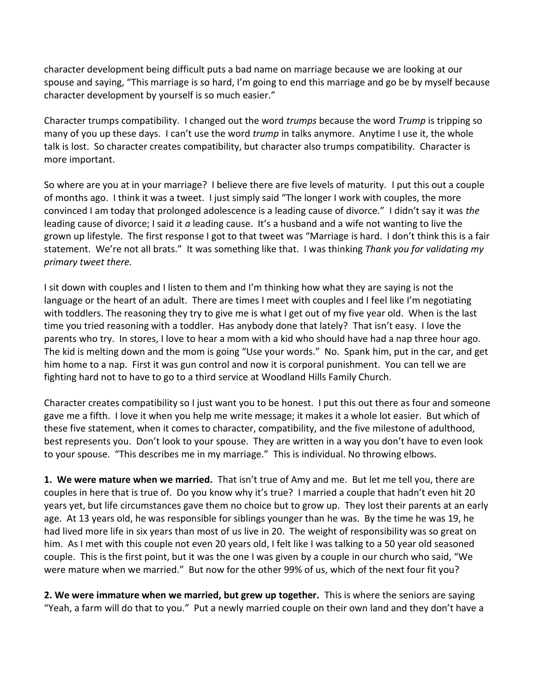character development being difficult puts a bad name on marriage because we are looking at our spouse and saying, "This marriage is so hard, I'm going to end this marriage and go be by myself because character development by yourself is so much easier."

Character trumps compatibility. I changed out the word *trumps* because the word *Trump* is tripping so many of you up these days. I can't use the word *trump* in talks anymore. Anytime I use it, the whole talk is lost. So character creates compatibility, but character also trumps compatibility. Character is more important.

So where are you at in your marriage? I believe there are five levels of maturity. I put this out a couple of months ago. I think it was a tweet. I just simply said "The longer I work with couples, the more convinced I am today that prolonged adolescence is a leading cause of divorce." I didn't say it was *the* leading cause of divorce; I said it *a* leading cause. It's a husband and a wife not wanting to live the grown up lifestyle. The first response I got to that tweet was "Marriage is hard. I don't think this is a fair statement. We're not all brats." It was something like that. I was thinking *Thank you for validating my primary tweet there.* 

I sit down with couples and I listen to them and I'm thinking how what they are saying is not the language or the heart of an adult. There are times I meet with couples and I feel like I'm negotiating with toddlers. The reasoning they try to give me is what I get out of my five year old. When is the last time you tried reasoning with a toddler. Has anybody done that lately? That isn't easy. I love the parents who try. In stores, I love to hear a mom with a kid who should have had a nap three hour ago. The kid is melting down and the mom is going "Use your words." No. Spank him, put in the car, and get him home to a nap. First it was gun control and now it is corporal punishment. You can tell we are fighting hard not to have to go to a third service at Woodland Hills Family Church.

Character creates compatibility so I just want you to be honest. I put this out there as four and someone gave me a fifth. I love it when you help me write message; it makes it a whole lot easier. But which of these five statement, when it comes to character, compatibility, and the five milestone of adulthood, best represents you. Don't look to your spouse. They are written in a way you don't have to even look to your spouse. "This describes me in my marriage." This is individual. No throwing elbows.

**1. We were mature when we married.** That isn't true of Amy and me. But let me tell you, there are couples in here that is true of. Do you know why it's true? I married a couple that hadn't even hit 20 years yet, but life circumstances gave them no choice but to grow up. They lost their parents at an early age. At 13 years old, he was responsible for siblings younger than he was. By the time he was 19, he had lived more life in six years than most of us live in 20. The weight of responsibility was so great on him. As I met with this couple not even 20 years old, I felt like I was talking to a 50 year old seasoned couple. This is the first point, but it was the one I was given by a couple in our church who said, "We were mature when we married." But now for the other 99% of us, which of the next four fit you?

**2. We were immature when we married, but grew up together.** This is where the seniors are saying "Yeah, a farm will do that to you." Put a newly married couple on their own land and they don't have a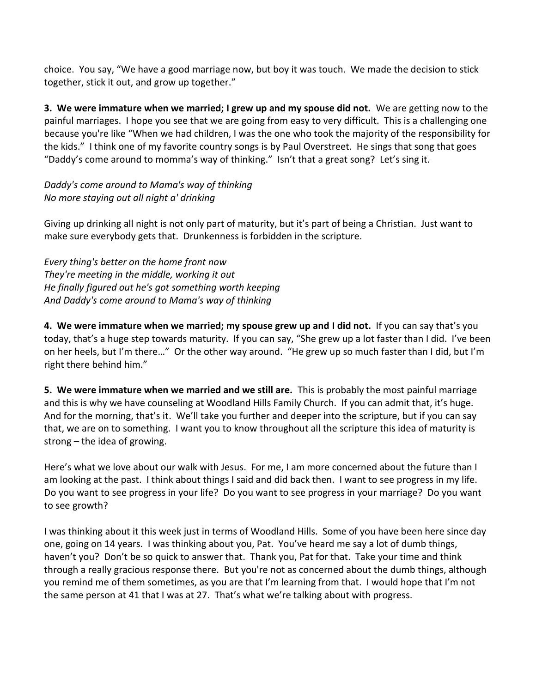choice. You say, "We have a good marriage now, but boy it was touch. We made the decision to stick together, stick it out, and grow up together."

**3. We were immature when we married; I grew up and my spouse did not.** We are getting now to the painful marriages. I hope you see that we are going from easy to very difficult. This is a challenging one because you're like "When we had children, I was the one who took the majority of the responsibility for the kids." I think one of my favorite country songs is by Paul Overstreet. He sings that song that goes "Daddy's come around to momma's way of thinking." Isn't that a great song? Let's sing it.

*Daddy's come around to Mama's way of thinking No more staying out all night a' drinking*

Giving up drinking all night is not only part of maturity, but it's part of being a Christian. Just want to make sure everybody gets that. Drunkenness is forbidden in the scripture.

*Every thing's better on the home front now They're meeting in the middle, working it out He finally figured out he's got something worth keeping And Daddy's come around to Mama's way of thinking* 

**4. We were immature when we married; my spouse grew up and I did not.** If you can say that's you today, that's a huge step towards maturity. If you can say, "She grew up a lot faster than I did. I've been on her heels, but I'm there…" Or the other way around. "He grew up so much faster than I did, but I'm right there behind him."

**5. We were immature when we married and we still are.** This is probably the most painful marriage and this is why we have counseling at Woodland Hills Family Church. If you can admit that, it's huge. And for the morning, that's it. We'll take you further and deeper into the scripture, but if you can say that, we are on to something. I want you to know throughout all the scripture this idea of maturity is strong – the idea of growing.

Here's what we love about our walk with Jesus. For me, I am more concerned about the future than I am looking at the past. I think about things I said and did back then. I want to see progress in my life. Do you want to see progress in your life? Do you want to see progress in your marriage? Do you want to see growth?

I was thinking about it this week just in terms of Woodland Hills. Some of you have been here since day one, going on 14 years. I was thinking about you, Pat. You've heard me say a lot of dumb things, haven't you? Don't be so quick to answer that. Thank you, Pat for that. Take your time and think through a really gracious response there. But you're not as concerned about the dumb things, although you remind me of them sometimes, as you are that I'm learning from that. I would hope that I'm not the same person at 41 that I was at 27. That's what we're talking about with progress.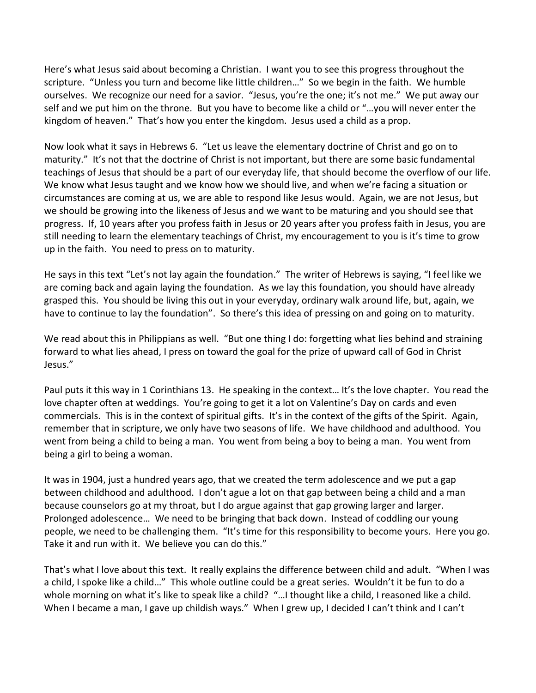Here's what Jesus said about becoming a Christian. I want you to see this progress throughout the scripture. "Unless you turn and become like little children..." So we begin in the faith. We humble ourselves. We recognize our need for a savior. "Jesus, you're the one; it's not me." We put away our self and we put him on the throne. But you have to become like a child or "…you will never enter the kingdom of heaven." That's how you enter the kingdom. Jesus used a child as a prop.

Now look what it says in Hebrews 6. "Let us leave the elementary doctrine of Christ and go on to maturity." It's not that the doctrine of Christ is not important, but there are some basic fundamental teachings of Jesus that should be a part of our everyday life, that should become the overflow of our life. We know what Jesus taught and we know how we should live, and when we're facing a situation or circumstances are coming at us, we are able to respond like Jesus would. Again, we are not Jesus, but we should be growing into the likeness of Jesus and we want to be maturing and you should see that progress. If, 10 years after you profess faith in Jesus or 20 years after you profess faith in Jesus, you are still needing to learn the elementary teachings of Christ, my encouragement to you is it's time to grow up in the faith. You need to press on to maturity.

He says in this text "Let's not lay again the foundation." The writer of Hebrews is saying, "I feel like we are coming back and again laying the foundation. As we lay this foundation, you should have already grasped this. You should be living this out in your everyday, ordinary walk around life, but, again, we have to continue to lay the foundation". So there's this idea of pressing on and going on to maturity.

We read about this in Philippians as well. "But one thing I do: forgetting what lies behind and straining forward to what lies ahead, I press on toward the goal for the prize of upward call of God in Christ Jesus."

Paul puts it this way in 1 Corinthians 13. He speaking in the context… It's the love chapter. You read the love chapter often at weddings. You're going to get it a lot on Valentine's Day on cards and even commercials. This is in the context of spiritual gifts. It's in the context of the gifts of the Spirit. Again, remember that in scripture, we only have two seasons of life. We have childhood and adulthood. You went from being a child to being a man. You went from being a boy to being a man. You went from being a girl to being a woman.

It was in 1904, just a hundred years ago, that we created the term adolescence and we put a gap between childhood and adulthood. I don't ague a lot on that gap between being a child and a man because counselors go at my throat, but I do argue against that gap growing larger and larger. Prolonged adolescence… We need to be bringing that back down. Instead of coddling our young people, we need to be challenging them. "It's time for this responsibility to become yours. Here you go. Take it and run with it. We believe you can do this."

That's what I love about this text. It really explains the difference between child and adult. "When I was a child, I spoke like a child…" This whole outline could be a great series. Wouldn't it be fun to do a whole morning on what it's like to speak like a child? "...I thought like a child, I reasoned like a child. When I became a man, I gave up childish ways." When I grew up, I decided I can't think and I can't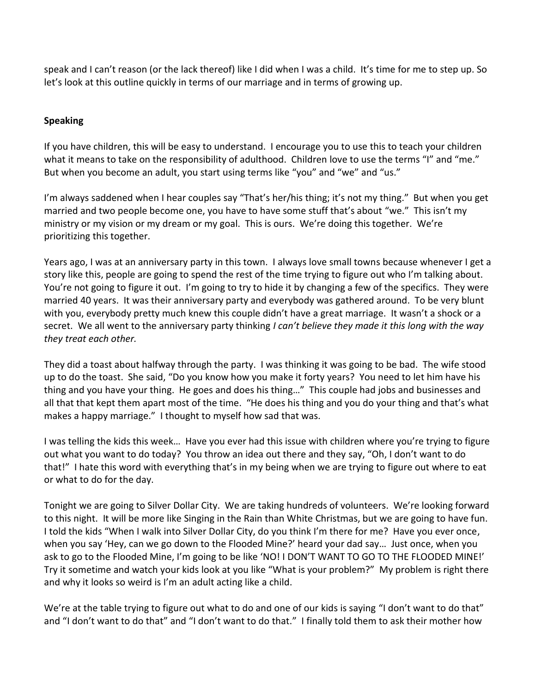speak and I can't reason (or the lack thereof) like I did when I was a child. It's time for me to step up. So let's look at this outline quickly in terms of our marriage and in terms of growing up.

## **Speaking**

If you have children, this will be easy to understand. I encourage you to use this to teach your children what it means to take on the responsibility of adulthood. Children love to use the terms "I" and "me." But when you become an adult, you start using terms like "you" and "we" and "us."

I'm always saddened when I hear couples say "That's her/his thing; it's not my thing." But when you get married and two people become one, you have to have some stuff that's about "we." This isn't my ministry or my vision or my dream or my goal. This is ours. We're doing this together. We're prioritizing this together.

Years ago, I was at an anniversary party in this town. I always love small towns because whenever I get a story like this, people are going to spend the rest of the time trying to figure out who I'm talking about. You're not going to figure it out. I'm going to try to hide it by changing a few of the specifics. They were married 40 years. It was their anniversary party and everybody was gathered around. To be very blunt with you, everybody pretty much knew this couple didn't have a great marriage. It wasn't a shock or a secret. We all went to the anniversary party thinking *I can't believe they made it this long with the way they treat each other.* 

They did a toast about halfway through the party. I was thinking it was going to be bad. The wife stood up to do the toast. She said, "Do you know how you make it forty years? You need to let him have his thing and you have your thing. He goes and does his thing…" This couple had jobs and businesses and all that that kept them apart most of the time. "He does his thing and you do your thing and that's what makes a happy marriage." I thought to myself how sad that was.

I was telling the kids this week… Have you ever had this issue with children where you're trying to figure out what you want to do today? You throw an idea out there and they say, "Oh, I don't want to do that!" I hate this word with everything that's in my being when we are trying to figure out where to eat or what to do for the day.

Tonight we are going to Silver Dollar City. We are taking hundreds of volunteers. We're looking forward to this night. It will be more like Singing in the Rain than White Christmas, but we are going to have fun. I told the kids "When I walk into Silver Dollar City, do you think I'm there for me? Have you ever once, when you say 'Hey, can we go down to the Flooded Mine?' heard your dad say… Just once, when you ask to go to the Flooded Mine, I'm going to be like 'NO! I DON'T WANT TO GO TO THE FLOODED MINE!' Try it sometime and watch your kids look at you like "What is your problem?" My problem is right there and why it looks so weird is I'm an adult acting like a child.

We're at the table trying to figure out what to do and one of our kids is saying "I don't want to do that" and "I don't want to do that" and "I don't want to do that." I finally told them to ask their mother how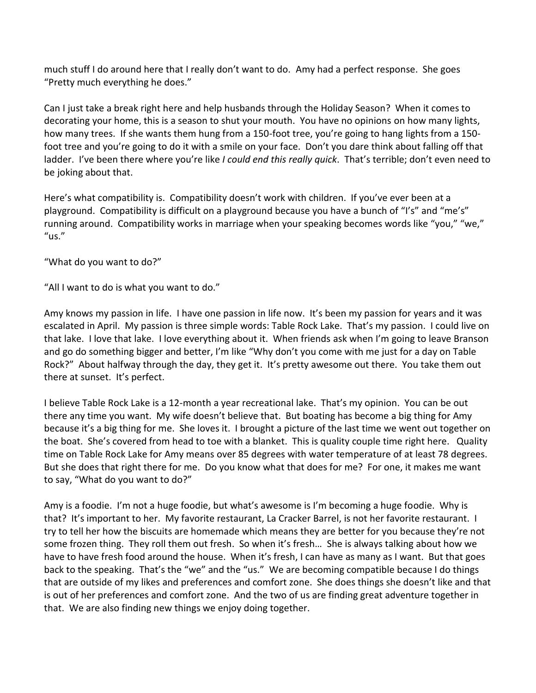much stuff I do around here that I really don't want to do. Amy had a perfect response. She goes "Pretty much everything he does."

Can I just take a break right here and help husbands through the Holiday Season? When it comes to decorating your home, this is a season to shut your mouth. You have no opinions on how many lights, how many trees. If she wants them hung from a 150-foot tree, you're going to hang lights from a 150foot tree and you're going to do it with a smile on your face. Don't you dare think about falling off that ladder. I've been there where you're like *I could end this really quick*. That's terrible; don't even need to be joking about that.

Here's what compatibility is. Compatibility doesn't work with children. If you've ever been at a playground. Compatibility is difficult on a playground because you have a bunch of "I's" and "me's" running around. Compatibility works in marriage when your speaking becomes words like "you," "we," "us."

"What do you want to do?"

"All I want to do is what you want to do."

Amy knows my passion in life. I have one passion in life now. It's been my passion for years and it was escalated in April. My passion is three simple words: Table Rock Lake. That's my passion. I could live on that lake. I love that lake. I love everything about it. When friends ask when I'm going to leave Branson and go do something bigger and better, I'm like "Why don't you come with me just for a day on Table Rock?" About halfway through the day, they get it. It's pretty awesome out there. You take them out there at sunset. It's perfect.

I believe Table Rock Lake is a 12-month a year recreational lake. That's my opinion. You can be out there any time you want. My wife doesn't believe that. But boating has become a big thing for Amy because it's a big thing for me. She loves it. I brought a picture of the last time we went out together on the boat. She's covered from head to toe with a blanket. This is quality couple time right here. Quality time on Table Rock Lake for Amy means over 85 degrees with water temperature of at least 78 degrees. But she does that right there for me. Do you know what that does for me? For one, it makes me want to say, "What do you want to do?"

Amy is a foodie. I'm not a huge foodie, but what's awesome is I'm becoming a huge foodie. Why is that? It's important to her. My favorite restaurant, La Cracker Barrel, is not her favorite restaurant. I try to tell her how the biscuits are homemade which means they are better for you because they're not some frozen thing. They roll them out fresh. So when it's fresh… She is always talking about how we have to have fresh food around the house. When it's fresh, I can have as many as I want. But that goes back to the speaking. That's the "we" and the "us." We are becoming compatible because I do things that are outside of my likes and preferences and comfort zone. She does things she doesn't like and that is out of her preferences and comfort zone. And the two of us are finding great adventure together in that. We are also finding new things we enjoy doing together.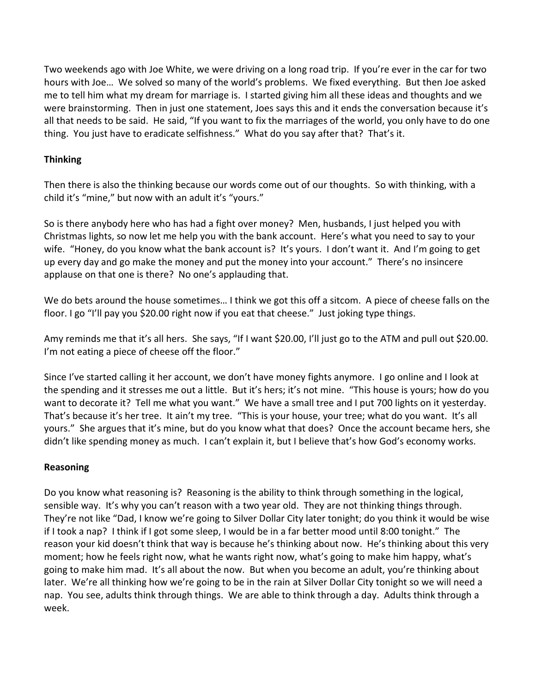Two weekends ago with Joe White, we were driving on a long road trip. If you're ever in the car for two hours with Joe… We solved so many of the world's problems. We fixed everything. But then Joe asked me to tell him what my dream for marriage is. I started giving him all these ideas and thoughts and we were brainstorming. Then in just one statement, Joes says this and it ends the conversation because it's all that needs to be said. He said, "If you want to fix the marriages of the world, you only have to do one thing. You just have to eradicate selfishness." What do you say after that? That's it.

## **Thinking**

Then there is also the thinking because our words come out of our thoughts. So with thinking, with a child it's "mine," but now with an adult it's "yours."

So is there anybody here who has had a fight over money? Men, husbands, I just helped you with Christmas lights, so now let me help you with the bank account. Here's what you need to say to your wife. "Honey, do you know what the bank account is? It's yours. I don't want it. And I'm going to get up every day and go make the money and put the money into your account." There's no insincere applause on that one is there? No one's applauding that.

We do bets around the house sometimes… I think we got this off a sitcom. A piece of cheese falls on the floor. I go "I'll pay you \$20.00 right now if you eat that cheese." Just joking type things.

Amy reminds me that it's all hers. She says, "If I want \$20.00, I'll just go to the ATM and pull out \$20.00. I'm not eating a piece of cheese off the floor."

Since I've started calling it her account, we don't have money fights anymore. I go online and I look at the spending and it stresses me out a little. But it's hers; it's not mine. "This house is yours; how do you want to decorate it? Tell me what you want." We have a small tree and I put 700 lights on it yesterday. That's because it's her tree. It ain't my tree. "This is your house, your tree; what do you want. It's all yours." She argues that it's mine, but do you know what that does? Once the account became hers, she didn't like spending money as much. I can't explain it, but I believe that's how God's economy works.

### **Reasoning**

Do you know what reasoning is? Reasoning is the ability to think through something in the logical, sensible way. It's why you can't reason with a two year old. They are not thinking things through. They're not like "Dad, I know we're going to Silver Dollar City later tonight; do you think it would be wise if I took a nap? I think if I got some sleep, I would be in a far better mood until 8:00 tonight." The reason your kid doesn't think that way is because he's thinking about now. He's thinking about this very moment; how he feels right now, what he wants right now, what's going to make him happy, what's going to make him mad. It's all about the now. But when you become an adult, you're thinking about later. We're all thinking how we're going to be in the rain at Silver Dollar City tonight so we will need a nap. You see, adults think through things. We are able to think through a day. Adults think through a week.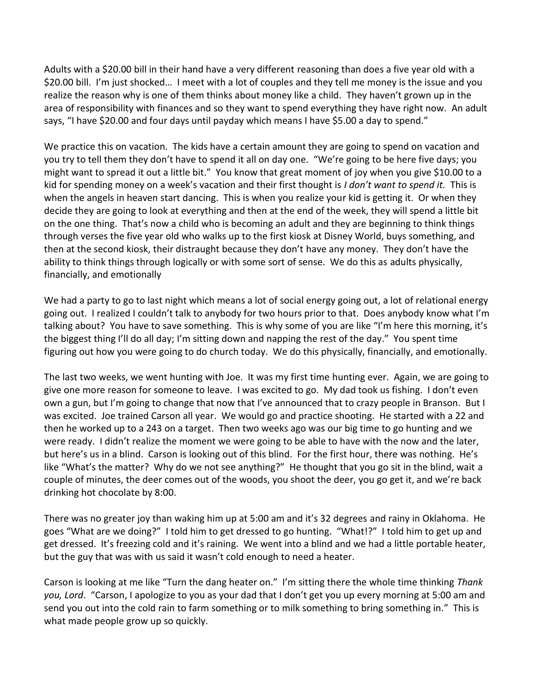Adults with a \$20.00 bill in their hand have a very different reasoning than does a five year old with a \$20.00 bill. I'm just shocked… I meet with a lot of couples and they tell me money is the issue and you realize the reason why is one of them thinks about money like a child. They haven't grown up in the area of responsibility with finances and so they want to spend everything they have right now. An adult says, "I have \$20.00 and four days until payday which means I have \$5.00 a day to spend."

We practice this on vacation. The kids have a certain amount they are going to spend on vacation and you try to tell them they don't have to spend it all on day one. "We're going to be here five days; you might want to spread it out a little bit." You know that great moment of joy when you give \$10.00 to a kid for spending money on a week's vacation and their first thought is *I don't want to spend it.* This is when the angels in heaven start dancing. This is when you realize your kid is getting it. Or when they decide they are going to look at everything and then at the end of the week, they will spend a little bit on the one thing. That's now a child who is becoming an adult and they are beginning to think things through verses the five year old who walks up to the first kiosk at Disney World, buys something, and then at the second kiosk, their distraught because they don't have any money. They don't have the ability to think things through logically or with some sort of sense. We do this as adults physically, financially, and emotionally

We had a party to go to last night which means a lot of social energy going out, a lot of relational energy going out. I realized I couldn't talk to anybody for two hours prior to that. Does anybody know what I'm talking about? You have to save something. This is why some of you are like "I'm here this morning, it's the biggest thing I'll do all day; I'm sitting down and napping the rest of the day." You spent time figuring out how you were going to do church today. We do this physically, financially, and emotionally.

The last two weeks, we went hunting with Joe. It was my first time hunting ever. Again, we are going to give one more reason for someone to leave. I was excited to go. My dad took us fishing. I don't even own a gun, but I'm going to change that now that I've announced that to crazy people in Branson. But I was excited. Joe trained Carson all year. We would go and practice shooting. He started with a 22 and then he worked up to a 243 on a target. Then two weeks ago was our big time to go hunting and we were ready. I didn't realize the moment we were going to be able to have with the now and the later, but here's us in a blind. Carson is looking out of this blind. For the first hour, there was nothing. He's like "What's the matter? Why do we not see anything?" He thought that you go sit in the blind, wait a couple of minutes, the deer comes out of the woods, you shoot the deer, you go get it, and we're back drinking hot chocolate by 8:00.

There was no greater joy than waking him up at 5:00 am and it's 32 degrees and rainy in Oklahoma. He goes "What are we doing?" I told him to get dressed to go hunting. "What!?" I told him to get up and get dressed. It's freezing cold and it's raining. We went into a blind and we had a little portable heater, but the guy that was with us said it wasn't cold enough to need a heater.

Carson is looking at me like "Turn the dang heater on." I'm sitting there the whole time thinking *Thank you, Lord*. "Carson, I apologize to you as your dad that I don't get you up every morning at 5:00 am and send you out into the cold rain to farm something or to milk something to bring something in." This is what made people grow up so quickly.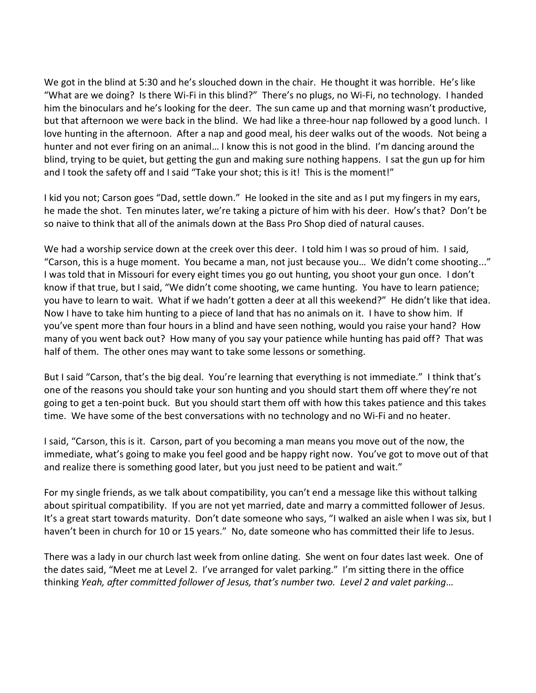We got in the blind at 5:30 and he's slouched down in the chair. He thought it was horrible. He's like "What are we doing? Is there Wi-Fi in this blind?" There's no plugs, no Wi-Fi, no technology. I handed him the binoculars and he's looking for the deer. The sun came up and that morning wasn't productive, but that afternoon we were back in the blind. We had like a three-hour nap followed by a good lunch. I love hunting in the afternoon. After a nap and good meal, his deer walks out of the woods. Not being a hunter and not ever firing on an animal… I know this is not good in the blind. I'm dancing around the blind, trying to be quiet, but getting the gun and making sure nothing happens. I sat the gun up for him and I took the safety off and I said "Take your shot; this is it! This is the moment!"

I kid you not; Carson goes "Dad, settle down." He looked in the site and as I put my fingers in my ears, he made the shot. Ten minutes later, we're taking a picture of him with his deer. How's that? Don't be so naive to think that all of the animals down at the Bass Pro Shop died of natural causes.

We had a worship service down at the creek over this deer. I told him I was so proud of him. I said, "Carson, this is a huge moment. You became a man, not just because you… We didn't come shooting..." I was told that in Missouri for every eight times you go out hunting, you shoot your gun once. I don't know if that true, but I said, "We didn't come shooting, we came hunting. You have to learn patience; you have to learn to wait. What if we hadn't gotten a deer at all this weekend?" He didn't like that idea. Now I have to take him hunting to a piece of land that has no animals on it. I have to show him. If you've spent more than four hours in a blind and have seen nothing, would you raise your hand? How many of you went back out? How many of you say your patience while hunting has paid off? That was half of them. The other ones may want to take some lessons or something.

But I said "Carson, that's the big deal. You're learning that everything is not immediate." I think that's one of the reasons you should take your son hunting and you should start them off where they're not going to get a ten-point buck. But you should start them off with how this takes patience and this takes time. We have some of the best conversations with no technology and no Wi-Fi and no heater.

I said, "Carson, this is it. Carson, part of you becoming a man means you move out of the now, the immediate, what's going to make you feel good and be happy right now. You've got to move out of that and realize there is something good later, but you just need to be patient and wait."

For my single friends, as we talk about compatibility, you can't end a message like this without talking about spiritual compatibility. If you are not yet married, date and marry a committed follower of Jesus. It's a great start towards maturity. Don't date someone who says, "I walked an aisle when I was six, but I haven't been in church for 10 or 15 years." No, date someone who has committed their life to Jesus.

There was a lady in our church last week from online dating. She went on four dates last week. One of the dates said, "Meet me at Level 2. I've arranged for valet parking." I'm sitting there in the office thinking *Yeah, after committed follower of Jesus, that's number two. Level 2 and valet parking*…